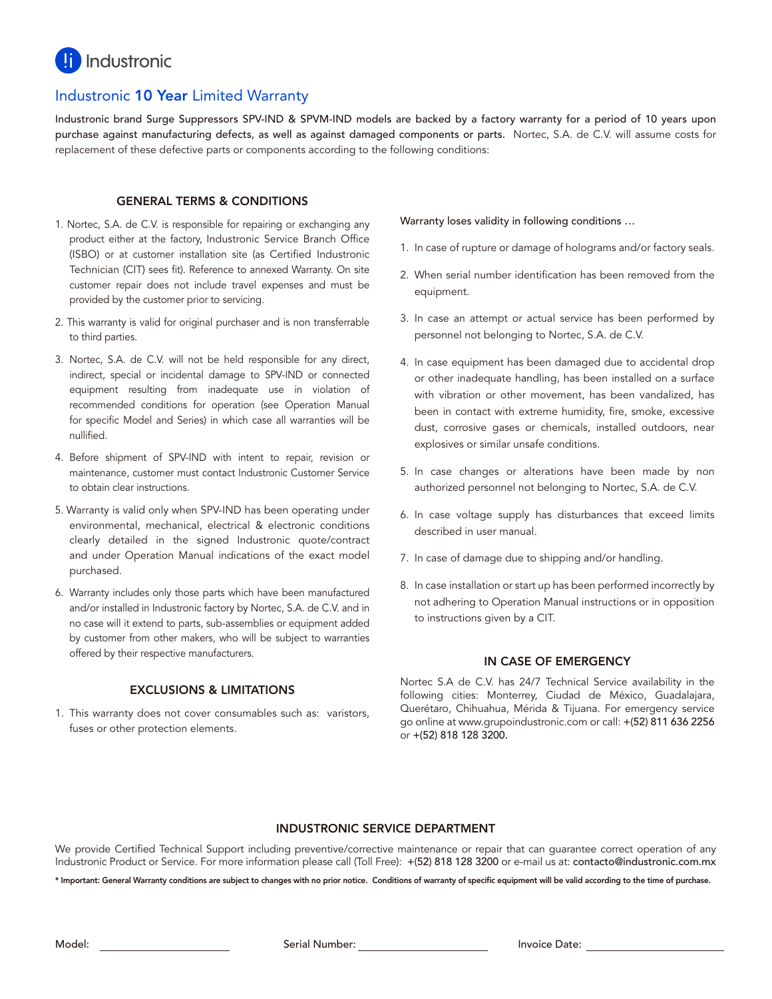

# Industronic 10 Year Limited Warranty

Industronic brand Surge Suppressors SPV-IND & SPVM-IND models are backed by a factory warranty for a period of 10 years upon purchase against manufacturing defects, as well as against damaged components or parts. Nortec, S.A. de C.V. will assume costs for replacement of these defective parts or components according to the following conditions:

#### GENERAL TERMS & CONDITIONS

- 1. Nortec, S.A. de C.V. is responsible for repairing or exchanging any product either at the factory, Industronic Service Branch Office (ISBO) or at customer installation site (as Certified Industronic Technician (CIT) sees fit). Reference to annexed Warranty. On site customer repair does not include travel expenses and must be provided by the customer prior to servicing.
- 2. This warranty is valid for original purchaser and is non transferrable to third parties.
- 3. Nortec, S.A. de C.V. will not be held responsible for any direct, indirect, special or incidental damage to SPV-IND or connected equipment resulting from inadequate use in violation of recommended conditions for operation (see Operation Manual for specific Model and Series) in which case all warranties will be nullified.
- 4. Before shipment of SPV-IND with intent to repair, revision or maintenance, customer must contact Industronic Customer Service to obtain clear instructions.
- 5. Warranty is valid only when SPV-IND has been operating under environmental, mechanical, electrical & electronic conditions clearly detailed in the signed Industronic quote/contract and under Operation Manual indications of the exact model purchased.
- 6. Warranty includes only those parts which have been manufactured and/or installed in Industronic factory by Nortec, S.A. de C.V. and in no case will it extend to parts, sub-assemblies or equipment added by customer from other makers, who will be subject to warranties offered by their respective manufacturers.

#### EXCLUSIONS & LIMITATIONS

1. This warranty does not cover consumables such as: varistors, fuses or other protection elements.

Warranty loses validity in following conditions …

- 1. In case of rupture or damage of holograms and/or factory seals.
- 2. When serial number identification has been removed from the equipment.
- 3. In case an attempt or actual service has been performed by personnel not belonging to Nortec, S.A. de C.V.
- 4. In case equipment has been damaged due to accidental drop or other inadequate handling, has been installed on a surface with vibration or other movement, has been vandalized, has been in contact with extreme humidity, fire, smoke, excessive dust, corrosive gases or chemicals, installed outdoors, near explosives or similar unsafe conditions.
- 5. In case changes or alterations have been made by non authorized personnel not belonging to Nortec, S.A. de C.V.
- 6. In case voltage supply has disturbances that exceed limits described in user manual.
- 7. In case of damage due to shipping and/or handling.
- 8. In case installation or start up has been performed incorrectly by not adhering to Operation Manual instructions or in opposition to instructions given by a CIT.

#### IN CASE OF EMERGENCY

Nortec S.A de C.V. has 24/7 Technical Service availability in the following cities: Monterrey, Ciudad de México, Guadalajara, Querétaro, Chihuahua, Mérida & Tijuana. For emergency service go online at www.grupoindustronic.com or call: +(52) 811 636 2256 or +(52) 818 128 3200.

#### INDUSTRONIC SERVICE DEPARTMENT

We provide Certified Technical Support including preventive/corrective maintenance or repair that can guarantee correct operation of any Industronic Product or Service. For more information please call (Toll Free): +(52) 818 128 3200 or e-mail us at: contacto@industronic.com.mx

\* Important: General Warranty conditions are subject to changes with no prior notice. Conditions of warranty of specific equipment will be valid according to the time of purchase.

Model: **Invoice Date:** Serial Number: **Invoice Date:** Invoice Date: